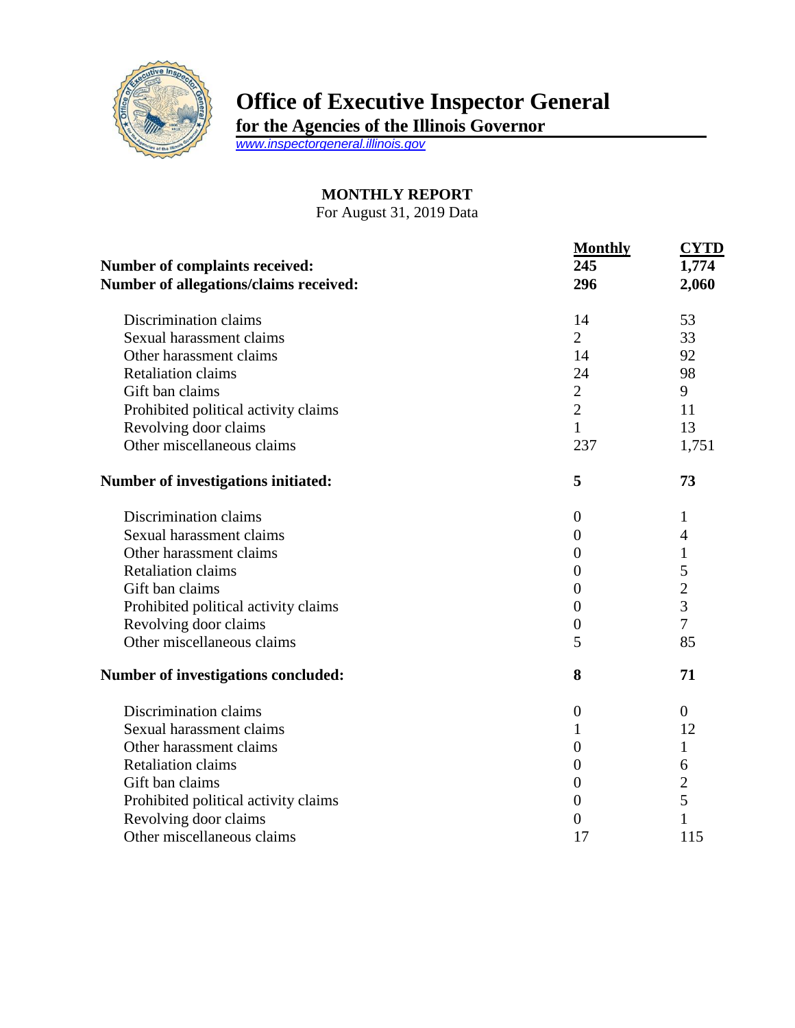

## **Office of Executive Inspector General**

**for the Agencies of the Illinois Governor**

*[www.inspectorgeneral.illinois.gov](http://www.inspectorgeneral.illinois.gov/)*

## **MONTHLY REPORT**

For August 31, 2019 Data

| Number of complaints received:<br>Number of allegations/claims received: | <b>Monthly</b><br>245<br>296 | <b>CYTD</b><br>1,774<br>2,060 |                          |                |    |
|--------------------------------------------------------------------------|------------------------------|-------------------------------|--------------------------|----------------|----|
|                                                                          |                              |                               | Discrimination claims    | 14             | 53 |
|                                                                          |                              |                               | Sexual harassment claims | $\overline{2}$ | 33 |
| Other harassment claims                                                  | 14                           | 92                            |                          |                |    |
| <b>Retaliation claims</b>                                                | 24                           | 98                            |                          |                |    |
| Gift ban claims                                                          | $\overline{2}$               | 9                             |                          |                |    |
| Prohibited political activity claims                                     | $\overline{2}$               | 11                            |                          |                |    |
| Revolving door claims                                                    | $\mathbf{1}$                 | 13                            |                          |                |    |
| Other miscellaneous claims                                               | 237                          | 1,751                         |                          |                |    |
| Number of investigations initiated:                                      | 5                            | 73                            |                          |                |    |
| Discrimination claims                                                    | $\overline{0}$               | 1                             |                          |                |    |
| Sexual harassment claims                                                 | $\theta$                     | 4                             |                          |                |    |
| Other harassment claims                                                  | $\overline{0}$               | 1                             |                          |                |    |
| <b>Retaliation claims</b>                                                | $\overline{0}$               | 5                             |                          |                |    |
| Gift ban claims                                                          | $\overline{0}$               | $\overline{2}$                |                          |                |    |
| Prohibited political activity claims                                     | 0                            | $\overline{3}$                |                          |                |    |
| Revolving door claims                                                    | $\overline{0}$               | $\overline{7}$                |                          |                |    |
| Other miscellaneous claims                                               | 5                            | 85                            |                          |                |    |
| Number of investigations concluded:                                      | 8                            | 71                            |                          |                |    |
| Discrimination claims                                                    | $\boldsymbol{0}$             | $\theta$                      |                          |                |    |
| Sexual harassment claims                                                 | 1                            | 12                            |                          |                |    |
| Other harassment claims                                                  | $\overline{0}$               | 1                             |                          |                |    |
| <b>Retaliation claims</b>                                                | $\boldsymbol{0}$             | 6                             |                          |                |    |
| Gift ban claims                                                          | $\boldsymbol{0}$             | $\overline{c}$                |                          |                |    |
| Prohibited political activity claims                                     | $\boldsymbol{0}$             | 5                             |                          |                |    |
| Revolving door claims                                                    | $\overline{0}$               | 1                             |                          |                |    |
| Other miscellaneous claims                                               | 17                           | 115                           |                          |                |    |